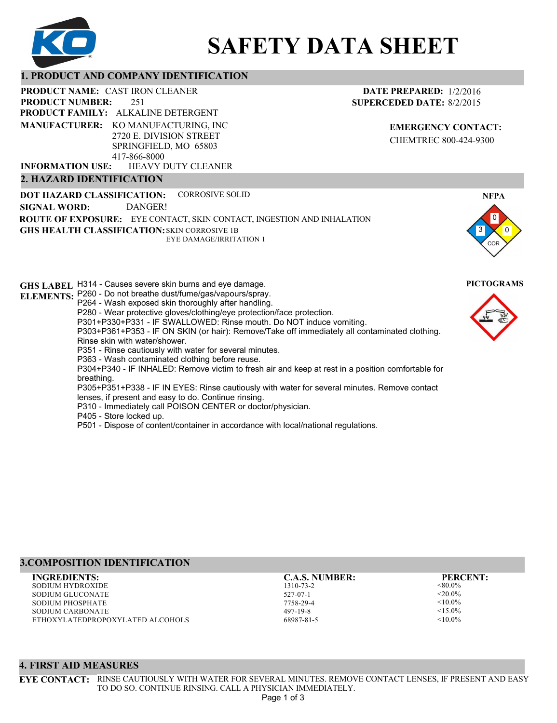

# **SAFETY DATA SHEET**

#### **1. PRODUCT AND COMPANY IDENTIFICATION**

251 **PRODUCT NAME: CAST IRON CLEANER PRODUCT FAMILY: ALKALINE DETERGENT** HEAVY DUTY CLEANER **PRODUCT NUMBER: MANUFACTURER:** KO MANUFACTURING, INC 2720 E. DIVISION STREET SPRINGFIELD, MO 65803 417-866-8000 **INFORMATION USE:**

#### **2. HAZARD IDENTIFICATION**

**DOT HAZARD CLASSIFICATION: GHS HEALTH CLASSIFICATION:** SKIN CORROSIVE 1B **ROUTE OF EXPOSURE:** EYE CONTACT, SKIN CONTACT, INGESTION AND INHALATION CORROSIVE SOLID EYE DAMAGE/IRRITATION 1 **SIGNAL WORD:** DANGER!

**GHS LABEL**  H314 - Causes severe skin burns and eye damage. **PICTOGRAMS ELEMENTS:** P260 - Do not breathe dust/fume/gas/vapours/spray. P264 - Wash exposed skin thoroughly after handling. P280 - Wear protective gloves/clothing/eye protection/face protection. P301+P330+P331 - IF SWALLOWED: Rinse mouth. Do NOT induce vomiting. P303+P361+P353 - IF ON SKIN (or hair): Remove/Take off immediately all contaminated clothing. Rinse skin with water/shower. P351 - Rinse cautiously with water for several minutes. P363 - Wash contaminated clothing before reuse. P304+P340 - IF INHALED: Remove victim to fresh air and keep at rest in a position comfortable for breathing. P305+P351+P338 - IF IN EYES: Rinse cautiously with water for several minutes. Remove contact lenses, if present and easy to do. Continue rinsing. P310 - Immediately call POISON CENTER or doctor/physician. P405 - Store locked up. P501 - Dispose of content/container in accordance with local/national regulations.

# **3.COMPOSITION IDENTIFICATION**

SODIUM HYDROXIDE SODIUM GLUCONATE SODIUM PHOSPHATE SODIUM CARBONATE ETHOXYLATEDPROPOXYLATED ALCOHOLS **INGREDIENTS: C.A.S. NUMBER: PERCENT:**

1310-73-2 527-07-1 7758-29-4 497-19-8 68987-81-5

<80.0%  $<$ 20.0%  $< 10.0\%$  $<$ 15.0%  $< 10.0\%$ 

# 3 0 0 **NFPA**

**EMERGENCY CONTACT:** CHEMTREC 800-424-9300

**DATE PREPARED:** 1/2/2016 **SUPERCEDED DATE:** 8/2/2015



COR



## **4. FIRST AID MEASURES**

**EYE CONTACT:** RINSE CAUTIOUSLY WITH WATER FOR SEVERAL MINUTES. REMOVE CONTACT LENSES, IF PRESENT AND EASY TO DO SO. CONTINUE RINSING. CALL A PHYSICIAN IMMEDIATELY.

Page 1 of 3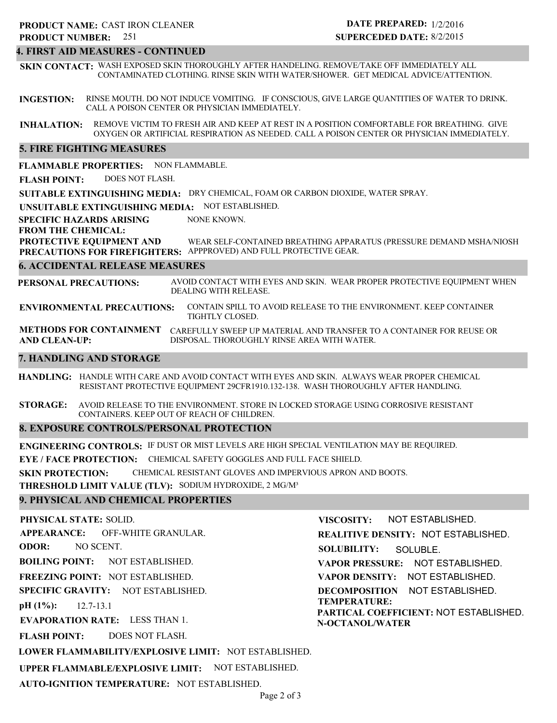#### **4. FIRST AID MEASURES - CONTINUED**

**SKIN CONTACT:** WASH EXPOSED SKIN THOROUGHLY AFTER HANDELING. REMOVE/TAKE OFF IMMEDIATELY ALL CONTAMINATED CLOTHING. RINSE SKIN WITH WATER/SHOWER. GET MEDICAL ADVICE/ATTENTION.

**INGESTION:** RINSE MOUTH. DO NOT INDUCE VOMITING. IF CONSCIOUS, GIVE LARGE QUANTITIES OF WATER TO DRINK. CALL A POISON CENTER OR PHYSICIAN IMMEDIATELY.

**INHALATION:** REMOVE VICTIM TO FRESH AIR AND KEEP AT REST IN A POSITION COMFORTABLE FOR BREATHING. GIVE OXYGEN OR ARTIFICIAL RESPIRATION AS NEEDED. CALL A POISON CENTER OR PHYSICIAN IMMEDIATELY.

#### **5. FIRE FIGHTING MEASURES**

**FLAMMABLE PROPERTIES:** NON FLAMMABLE.

**FLASH POINT:** DOES NOT FLASH.

**SUITABLE EXTINGUISHING MEDIA:** DRY CHEMICAL, FOAM OR CARBON DIOXIDE, WATER SPRAY.

**UNSUITABLE EXTINGUISHING MEDIA:** NOT ESTABLISHED.

**SPECIFIC HAZARDS ARISING** NONE KNOWN.

**FROM THE CHEMICAL:**

**PROTECTIVE EQUIPMENT AND** WEAR SELF-CONTAINED BREATHING APPARATUS (PRESSURE DEMAND MSHA/NIOSH

**PRECAUTIONS FOR FIREFIGHTERS:** APPPROVED) AND FULL PROTECTIVE GEAR.

#### **6. ACCIDENTAL RELEASE MEASURES**

**PERSONAL PRECAUTIONS:** AVOID CONTACT WITH EYES AND SKIN. WEAR PROPER PROTECTIVE EQUIPMENT WHEN DEALING WITH RELEASE.

**ENVIRONMENTAL PRECAUTIONS:** CONTAIN SPILL TO AVOID RELEASE TO THE ENVIRONMENT. KEEP CONTAINER TIGHTLY CLOSED.

**METHODS FOR CONTAINMENT** CAREFULLY SWEEP UP MATERIAL AND TRANSFER TO A CONTAINER FOR REUSE OR **AND CLEAN-UP:** DISPOSAL. THOROUGHLY RINSE AREA WITH WATER.

#### **7. HANDLING AND STORAGE**

**HANDLING:** HANDLE WITH CARE AND AVOID CONTACT WITH EYES AND SKIN. ALWAYS WEAR PROPER CHEMICAL RESISTANT PROTECTIVE EQUIPMENT 29CFR1910.132-138. WASH THOROUGHLY AFTER HANDLING.

**STORAGE:** AVOID RELEASE TO THE ENVIRONMENT. STORE IN LOCKED STORAGE USING CORROSIVE RESISTANT CONTAINERS. KEEP OUT OF REACH OF CHILDREN.

#### **8. EXPOSURE CONTROLS/PERSONAL PROTECTION**

**ENGINEERING CONTROLS:** IF DUST OR MIST LEVELS ARE HIGH SPECIAL VENTILATION MAY BE REQUIRED.

**EYE / FACE PROTECTION:** CHEMICAL SAFETY GOGGLES AND FULL FACE SHIELD.

**SKIN PROTECTION:** CHEMICAL RESISTANT GLOVES AND IMPERVIOUS APRON AND BOOTS.

**THRESHOLD LIMIT VALUE (TLV):** SODIUM HYDROXIDE, 2 MG/M³

#### **9. PHYSICAL AND CHEMICAL PROPERTIES**

**PHYSICAL STATE:** SOLID.

**APPEARANCE: ODOR:** OFF-WHITE GRANULAR. NO SCENT.

**BOILING POINT:** NOT ESTABLISHED.

**FREEZING POINT:** NOT ESTABLISHED.

**SPECIFIC GRAVITY:** NOT ESTABLISHED.

**pH (1%):** 12.7-13.1

**EVAPORATION RATE:** LESS THAN 1.

**FLASH POINT:** DOES NOT FLASH.

**LOWER FLAMMABILITY/EXPLOSIVE LIMIT:** NOT ESTABLISHED.

**UPPER FLAMMABLE/EXPLOSIVE LIMIT:** NOT ESTABLISHED.

**AUTO-IGNITION TEMPERATURE:** NOT ESTABLISHED.

**VISCOSITY:** NOT ESTABLISHED.

**REALITIVE DENSITY:** NOT ESTABLISHED.

**SOLUBILITY:** SOLUBLE.

**VAPOR PRESSURE:** NOT ESTABLISHED.

**VAPOR DENSITY:** NOT ESTABLISHED.

**DECOMPOSITION** NOT ESTABLISHED. **TEMPERATURE:**

**PARTICAL COEFFICIENT:** NOT ESTABLISHED. **N-OCTANOL/WATER**